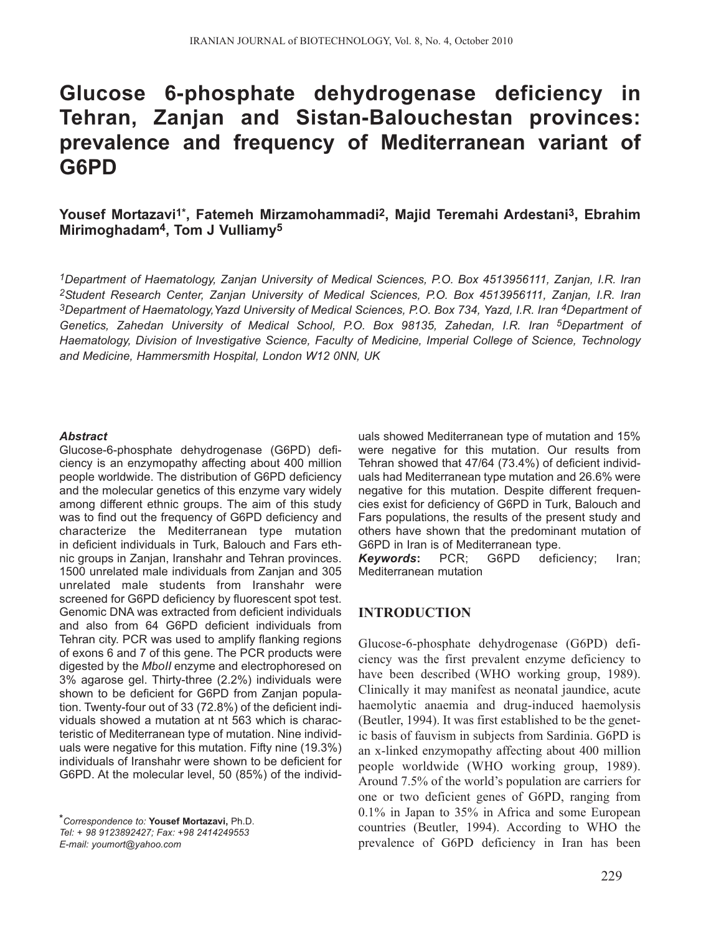# **Glucose 6-phosphate dehydrogenase deficiency in Tehran, Zanjan and Sistan-Balouchestan provinces: prevalence and frequency of Mediterranean variant of G6PD**

## **Yousef Mortazavi1\*, Fatemeh Mirzamohammadi2, Majid Teremahi Ardestani3, Ebrahim Mirimoghadam4, Tom J Vulliamy5**

*1Department of Haematology, Zanjan University of Medical Sciences, P.O. Box 4513956111, Zanjan, I.R. Iran 2Student Research Center, Zanjan University of Medical Sciences, P.O. Box 4513956111, Zanjan, I.R. Iran 3Department of Haematology,Yazd University of Medical Sciences, P.O. Box 734, Yazd, I.R. Iran 4Department of Genetics, Zahedan University of Medical School, P.O. Box 98135, Zahedan, I.R. Iran 5Department of Haematology, Division of Investigative Science, Faculty of Medicine, Imperial College of Science, Technology and Medicine, Hammersmith Hospital, London W12 0NN, UK*

#### *Abstract*

Glucose-6-phosphate dehydrogenase (G6PD) deficiency is an enzymopathy affecting about 400 million people worldwide. The distribution of G6PD deficiency and the molecular genetics of this enzyme vary widely among different ethnic groups. The aim of this study was to find out the frequency of G6PD deficiency and characterize the Mediterranean type mutation in deficient individuals in Turk, Balouch and Fars ethnic groups in Zanjan, Iranshahr and Tehran provinces. 1500 unrelated male individuals from Zanjan and 305 unrelated male students from Iranshahr were screened for G6PD deficiency by fluorescent spot test. Genomic DNA was extracted from deficient individuals and also from 64 G6PD deficient individuals from Tehran city. PCR was used to amplify flanking regions of exons 6 and 7 of this gene. The PCR products were digested by the *MboII* enzyme and electrophoresed on 3% agarose gel. Thirty-three (2.2%) individuals were shown to be deficient for G6PD from Zanjan population. Twenty-four out of 33 (72.8%) of the deficient individuals showed a mutation at nt 563 which is characteristic of Mediterranean type of mutation. Nine individuals were negative for this mutation. Fifty nine (19.3%) individuals of Iranshahr were shown to be deficient for G6PD. At the molecular level, 50 (85%) of the individ-

*\*Correspondence to:* **Yousef Mortazavi,** Ph.D. *Tel: + 98 9123892427; Fax: +98 2414249553 E-mail: youmort@yahoo.com*

uals showed Mediterranean type of mutation and 15% were negative for this mutation. Our results from Tehran showed that 47/64 (73.4%) of deficient individuals had Mediterranean type mutation and 26.6% were negative for this mutation. Despite different frequencies exist for deficiency of G6PD in Turk, Balouch and Fars populations, the results of the present study and others have shown that the predominant mutation of G6PD in Iran is of Mediterranean type.

*Keywords***:** PCR; G6PD deficiency; Iran; Mediterranean mutation

## **INTRODUCTION**

Glucose-6-phosphate dehydrogenase (G6PD) deficiency was the first prevalent enzyme deficiency to have been described (WHO working group, 1989). Clinically it may manifest as neonatal jaundice, acute haemolytic anaemia and drug-induced haemolysis (Beutler, 1994). It was first established to be the genetic basis of fauvism in subjects from Sardinia. G6PD is an x-linked enzymopathy affecting about 400 million people worldwide (WHO working group, 1989). Around 7.5% of the world's population are carriers for one or two deficient genes of G6PD, ranging from 0.1% in Japan to 35% in Africa and some European countries (Beutler, 1994). According to WHO the prevalence of G6PD deficiency in Iran has been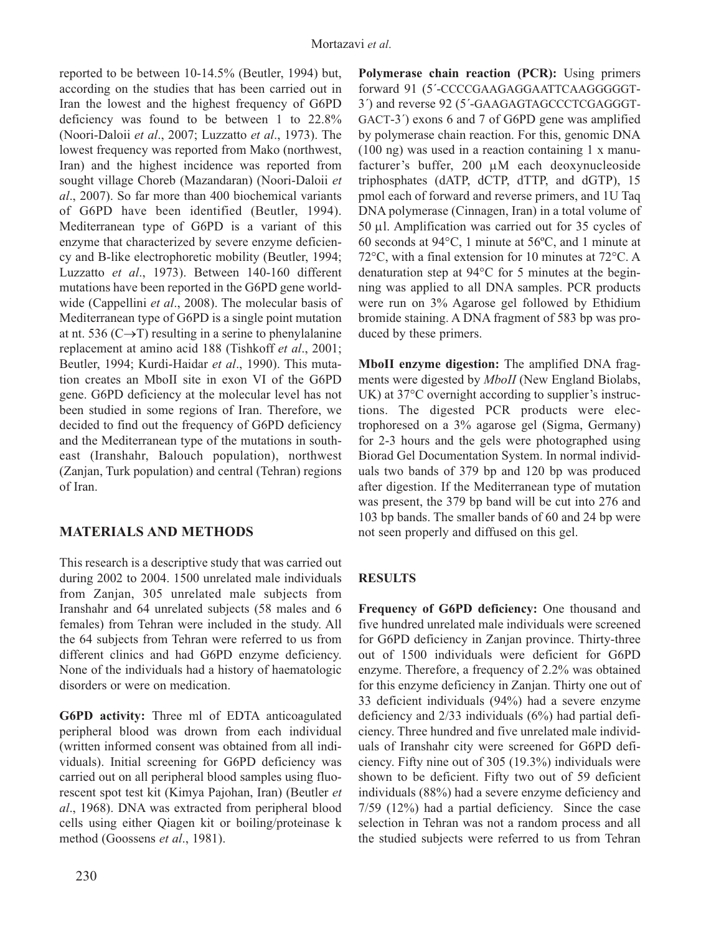reported to be between 10-14.5% (Beutler, 1994) but, according on the studies that has been carried out in Iran the lowest and the highest frequency of G6PD deficiency was found to be between 1 to 22.8% (Noori-Daloii *et al*., 2007; Luzzatto *et al*., 1973). The lowest frequency was reported from Mako (northwest, Iran) and the highest incidence was reported from sought village Choreb (Mazandaran) (Noori-Daloii *et al*., 2007). So far more than 400 biochemical variants of G6PD have been identified (Beutler, 1994). Mediterranean type of G6PD is a variant of this enzyme that characterized by severe enzyme deficiency and B-like electrophoretic mobility (Beutler, 1994; Luzzatto *et al*., 1973). Between 140-160 different mutations have been reported in the G6PD gene worldwide (Cappellini *et al*., 2008). The molecular basis of Mediterranean type of G6PD is a single point mutation at nt. 536 ( $C\rightarrow T$ ) resulting in a serine to phenylalanine replacement at amino acid 188 (Tishkoff *et al*., 2001; Beutler, 1994; Kurdi-Haidar *et al*., 1990). This mutation creates an MboII site in exon VI of the G6PD gene. G6PD deficiency at the molecular level has not been studied in some regions of Iran. Therefore, we decided to find out the frequency of G6PD deficiency and the Mediterranean type of the mutations in southeast (Iranshahr, Balouch population), northwest (Zanjan, Turk population) and central (Tehran) regions of Iran.

# **MATERIALS AND METHODS**

This research is a descriptive study that was carried out during 2002 to 2004. 1500 unrelated male individuals from Zanjan, 305 unrelated male subjects from Iranshahr and 64 unrelated subjects (58 males and 6 females) from Tehran were included in the study. All the 64 subjects from Tehran were referred to us from different clinics and had G6PD enzyme deficiency. None of the individuals had a history of haematologic disorders or were on medication.

**G6PD activity:** Three ml of EDTA anticoagulated peripheral blood was drown from each individual (written informed consent was obtained from all individuals). Initial screening for G6PD deficiency was carried out on all peripheral blood samples using fluorescent spot test kit (Kimya Pajohan, Iran) (Beutler *et al*., 1968). DNA was extracted from peripheral blood cells using either Qiagen kit or boiling/proteinase k method (Goossens *et al*., 1981).

**Polymerase chain reaction (PCR):** Using primers forward 91 (5´-CCCCGAAGAGGAATTCAAGGGGGT-3´) and reverse 92 (5´-GAAGAGTAGCCCTCGAGGGT-GACT-3´) exons 6 and 7 of G6PD gene was amplified by polymerase chain reaction. For this, genomic DNA (100 ng) was used in a reaction containing 1 x manufacturer's buffer, 200 μM each deoxynucleoside triphosphates (dATP, dCTP, dTTP, and dGTP), 15 pmol each of forward and reverse primers, and 1U Taq DNA polymerase (Cinnagen, Iran) in a total volume of 50 μl. Amplification was carried out for 35 cycles of 60 seconds at 94°C, 1 minute at 56ºC, and 1 minute at 72°C, with a final extension for 10 minutes at 72°C. A denaturation step at 94°C for 5 minutes at the beginning was applied to all DNA samples. PCR products were run on 3% Agarose gel followed by Ethidium bromide staining. A DNA fragment of 583 bp was produced by these primers.

**MboII enzyme digestion:** The amplified DNA fragments were digested by *MboII* (New England Biolabs, UK) at 37°C overnight according to supplier's instructions. The digested PCR products were electrophoresed on a 3% agarose gel (Sigma, Germany) for 2-3 hours and the gels were photographed using Biorad Gel Documentation System. In normal individuals two bands of 379 bp and 120 bp was produced after digestion. If the Mediterranean type of mutation was present, the 379 bp band will be cut into 276 and 103 bp bands. The smaller bands of 60 and 24 bp were not seen properly and diffused on this gel.

## **RESULTS**

**Frequency of G6PD deficiency:** One thousand and five hundred unrelated male individuals were screened for G6PD deficiency in Zanjan province. Thirty-three out of 1500 individuals were deficient for G6PD enzyme. Therefore, a frequency of 2.2% was obtained for this enzyme deficiency in Zanjan. Thirty one out of 33 deficient individuals (94%) had a severe enzyme deficiency and 2/33 individuals (6%) had partial deficiency. Three hundred and five unrelated male individuals of Iranshahr city were screened for G6PD deficiency. Fifty nine out of 305 (19.3%) individuals were shown to be deficient. Fifty two out of 59 deficient individuals (88%) had a severe enzyme deficiency and 7/59 (12%) had a partial deficiency. Since the case selection in Tehran was not a random process and all the studied subjects were referred to us from Tehran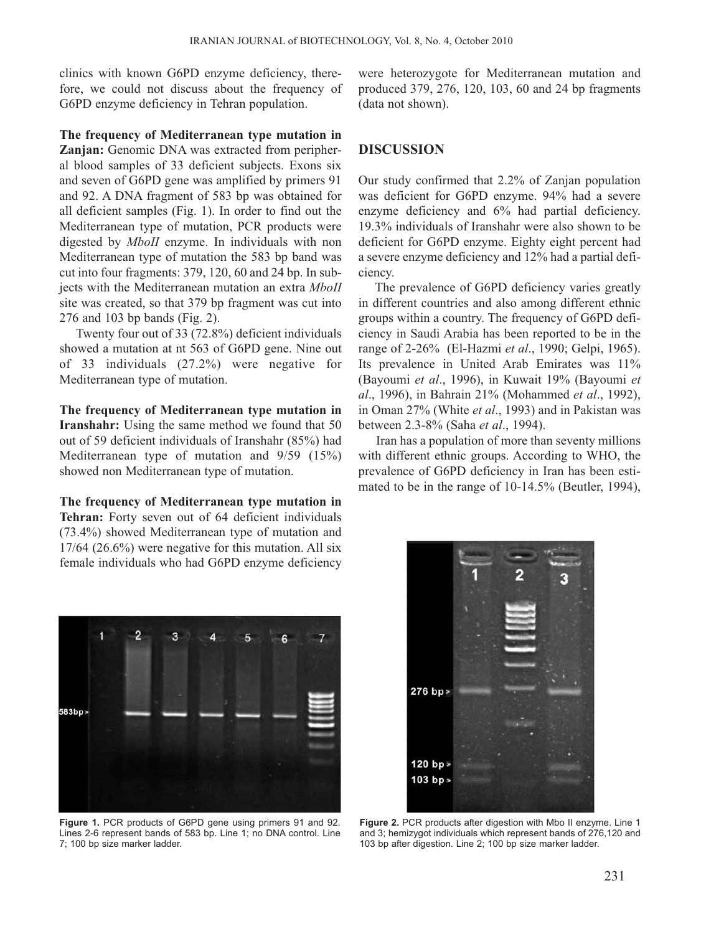clinics with known G6PD enzyme deficiency, therefore, we could not discuss about the frequency of G6PD enzyme deficiency in Tehran population.

#### **The frequency of Mediterranean type mutation in**

**Zanjan:** Genomic DNA was extracted from peripheral blood samples of 33 deficient subjects. Exons six and seven of G6PD gene was amplified by primers 91 and 92. A DNA fragment of 583 bp was obtained for all deficient samples (Fig. 1). In order to find out the Mediterranean type of mutation, PCR products were digested by *MboII* enzyme. In individuals with non Mediterranean type of mutation the 583 bp band was cut into four fragments: 379, 120, 60 and 24 bp. In subjects with the Mediterranean mutation an extra *MboII* site was created, so that 379 bp fragment was cut into 276 and 103 bp bands (Fig. 2).

Twenty four out of 33 (72.8%) deficient individuals showed a mutation at nt 563 of G6PD gene. Nine out of 33 individuals (27.2%) were negative for Mediterranean type of mutation.

**The frequency of Mediterranean type mutation in Iranshahr:** Using the same method we found that 50 out of 59 deficient individuals of Iranshahr (85%) had Mediterranean type of mutation and 9/59 (15%) showed non Mediterranean type of mutation.

**The frequency of Mediterranean type mutation in Tehran:** Forty seven out of 64 deficient individuals (73.4%) showed Mediterranean type of mutation and 17/64 (26.6%) were negative for this mutation. All six female individuals who had G6PD enzyme deficiency were heterozygote for Mediterranean mutation and produced 379, 276, 120, 103, 60 and 24 bp fragments (data not shown).

### **DISCUSSION**

Our study confirmed that 2.2% of Zanjan population was deficient for G6PD enzyme. 94% had a severe enzyme deficiency and 6% had partial deficiency. 19.3% individuals of Iranshahr were also shown to be deficient for G6PD enzyme. Eighty eight percent had a severe enzyme deficiency and 12% had a partial deficiency.

The prevalence of G6PD deficiency varies greatly in different countries and also among different ethnic groups within a country. The frequency of G6PD deficiency in Saudi Arabia has been reported to be in the range of 2-26% (El-Hazmi *et al*., 1990; Gelpi, 1965). Its prevalence in United Arab Emirates was 11% (Bayoumi *et al*., 1996), in Kuwait 19% (Bayoumi *et al*., 1996), in Bahrain 21% (Mohammed *et al*., 1992), in Oman 27% (White *et al*., 1993) and in Pakistan was between 2.3-8% (Saha *et al*., 1994).

Iran has a population of more than seventy millions with different ethnic groups. According to WHO, the prevalence of G6PD deficiency in Iran has been estimated to be in the range of 10-14.5% (Beutler, 1994),



**Figure 1.** PCR products of G6PD gene using primers 91 and 92. Lines 2-6 represent bands of 583 bp. Line 1; no DNA control. Line 7; 100 bp size marker ladder.



**Figure 2.** PCR products after digestion with Mbo II enzyme. Line 1 and 3; hemizygot individuals which represent bands of 276,120 and 103 bp after digestion. Line 2; 100 bp size marker ladder.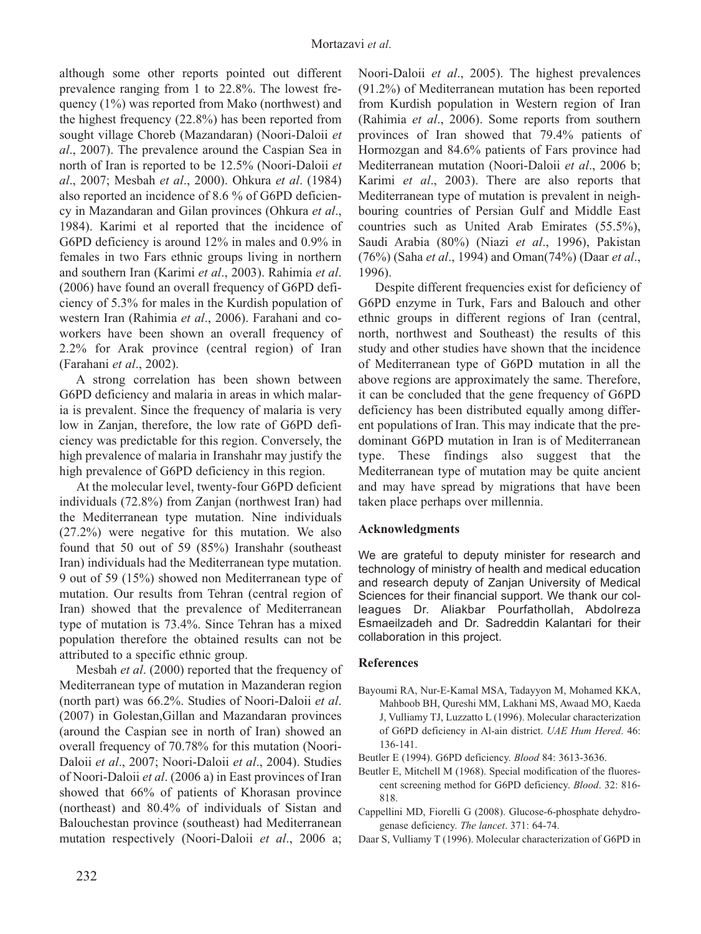although some other reports pointed out different prevalence ranging from 1 to 22.8%. The lowest frequency (1%) was reported from Mako (northwest) and the highest frequency (22.8%) has been reported from sought village Choreb (Mazandaran) (Noori-Daloii *et al*., 2007). The prevalence around the Caspian Sea in north of Iran is reported to be 12.5% (Noori-Daloii *et al*., 2007; Mesbah *et al*., 2000). Ohkura *et al*. (1984) also reported an incidence of 8.6 % of G6PD deficiency in Mazandaran and Gilan provinces (Ohkura *et al*., 1984). Karimi et al reported that the incidence of G6PD deficiency is around 12% in males and 0.9% in females in two Fars ethnic groups living in northern and southern Iran (Karimi *et al*., 2003). Rahimia *et al*. (2006) have found an overall frequency of G6PD deficiency of 5.3% for males in the Kurdish population of western Iran (Rahimia *et al*., 2006). Farahani and coworkers have been shown an overall frequency of 2.2% for Arak province (central region) of Iran (Farahani *et al*., 2002).

A strong correlation has been shown between G6PD deficiency and malaria in areas in which malaria is prevalent. Since the frequency of malaria is very low in Zanjan, therefore, the low rate of G6PD deficiency was predictable for this region. Conversely, the high prevalence of malaria in Iranshahr may justify the high prevalence of G6PD deficiency in this region.

At the molecular level, twenty-four G6PD deficient individuals (72.8%) from Zanjan (northwest Iran) had the Mediterranean type mutation. Nine individuals (27.2%) were negative for this mutation. We also found that 50 out of 59 (85%) Iranshahr (southeast Iran) individuals had the Mediterranean type mutation. 9 out of 59 (15%) showed non Mediterranean type of mutation. Our results from Tehran (central region of Iran) showed that the prevalence of Mediterranean type of mutation is 73.4%. Since Tehran has a mixed population therefore the obtained results can not be attributed to a specific ethnic group.

Mesbah *et al*. (2000) reported that the frequency of Mediterranean type of mutation in Mazanderan region (north part) was 66.2%. Studies of Noori-Daloii *et al*. (2007) in Golestan,Gillan and Mazandaran provinces (around the Caspian see in north of Iran) showed an overall frequency of 70.78% for this mutation (Noori-Daloii *et al*., 2007; Noori-Daloii *et al*., 2004). Studies of Noori-Daloii *et al*. (2006 a) in East provinces of Iran showed that 66% of patients of Khorasan province (northeast) and 80.4% of individuals of Sistan and Balouchestan province (southeast) had Mediterranean mutation respectively (Noori-Daloii *et al*., 2006 a; Noori-Daloii *et al*., 2005). The highest prevalences (91.2%) of Mediterranean mutation has been reported from Kurdish population in Western region of Iran (Rahimia *et al*., 2006). Some reports from southern provinces of Iran showed that 79.4% patients of Hormozgan and 84.6% patients of Fars province had Mediterranean mutation (Noori-Daloii *et al*., 2006 b; Karimi *et al*., 2003). There are also reports that Mediterranean type of mutation is prevalent in neighbouring countries of Persian Gulf and Middle East countries such as United Arab Emirates (55.5%), Saudi Arabia (80%) (Niazi *et al*., 1996), Pakistan (76%) (Saha *et al*., 1994) and Oman(74%) (Daar *et al*., 1996).

Despite different frequencies exist for deficiency of G6PD enzyme in Turk, Fars and Balouch and other ethnic groups in different regions of Iran (central, north, northwest and Southeast) the results of this study and other studies have shown that the incidence of Mediterranean type of G6PD mutation in all the above regions are approximately the same. Therefore, it can be concluded that the gene frequency of G6PD deficiency has been distributed equally among different populations of Iran. This may indicate that the predominant G6PD mutation in Iran is of Mediterranean type. These findings also suggest that the Mediterranean type of mutation may be quite ancient and may have spread by migrations that have been taken place perhaps over millennia.

### **Acknowledgments**

We are grateful to deputy minister for research and technology of ministry of health and medical education and research deputy of Zanjan University of Medical Sciences for their financial support. We thank our colleagues Dr. Aliakbar Pourfathollah, Abdolreza Esmaeilzadeh and Dr. Sadreddin Kalantari for their collaboration in this project.

#### **References**

- Bayoumi RA, Nur-E-Kamal MSA, Tadayyon M, Mohamed KKA, Mahboob BH, Qureshi MM, Lakhani MS, Awaad MO, Kaeda J, Vulliamy TJ, Luzzatto L (1996). Molecular characterization of G6PD deficiency in Al-ain district. *UAE Hum Hered*. 46: 136-141.
- Beutler E (1994). G6PD deficiency. *Blood* 84: 3613-3636.
- Beutler E, Mitchell M (1968). Special modification of the fluorescent screening method for G6PD deficiency. *Blood*. 32: 816- 818.
- Cappellini MD, Fiorelli G (2008). Glucose-6-phosphate dehydrogenase deficiency. *The lancet*. 371: 64-74.
- Daar S, Vulliamy T (1996). Molecular characterization of G6PD in